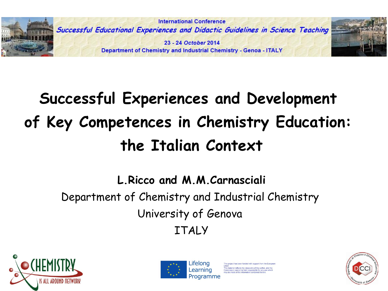

# **Successful Experiences and Development of Key Competences in Chemistry Education: the Italian Context**

**L.Ricco and M.M.Carnasciali**

Department of Chemistry and Industrial Chemistry University of Genova ITALY





s material reflects the views only of the author, and the mmission cannot be held responsible for any use w<br>v be made of the information contained therein.

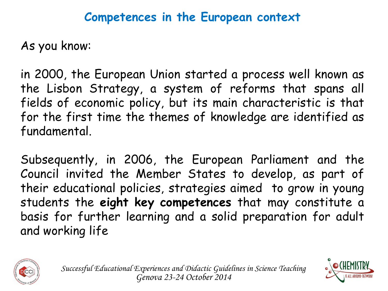#### **Competences in the European context**

As you know:

in 2000, the European Union started a process well known as the Lisbon Strategy, a system of reforms that spans all fields of economic policy, but its main characteristic is that for the first time the themes of knowledge are identified as fundamental.

Subsequently, in 2006, the European Parliament and the Council invited the Member States to develop, as part of their educational policies, strategies aimed to grow in young students the **eight key competences** that may constitute a basis for further learning and a solid preparation for adult and working life



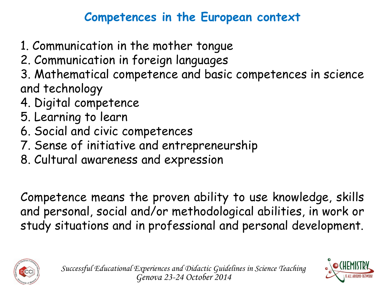# **Competences in the European context**

- 1. Communication in the mother tongue
- 2. Communication in foreign languages
- 3. Mathematical competence and basic competences in science and technology
- 4. Digital competence
- 5. Learning to learn
- 6. Social and civic competences
- 7. Sense of initiative and entrepreneurship
- 8. Cultural awareness and expression

Competence means the proven ability to use knowledge, skills and personal, social and/or methodological abilities, in work or study situations and in professional and personal development.



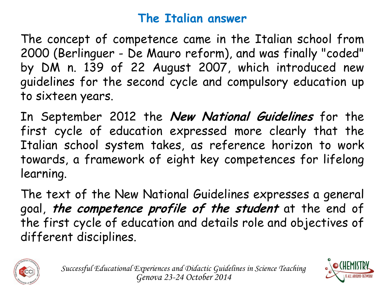### **The Italian answer**

The concept of competence came in the Italian school from 2000 (Berlinguer - De Mauro reform), and was finally "coded" by DM n. 139 of 22 August 2007, which introduced new guidelines for the second cycle and compulsory education up to sixteen years.

In September 2012 the **New National Guidelines** for the first cycle of education expressed more clearly that the Italian school system takes, as reference horizon to work towards, a framework of eight key competences for lifelong learning.

The text of the New National Guidelines expresses a general goal, **the competence profile of the student** at the end of the first cycle of education and details role and objectives of different disciplines.



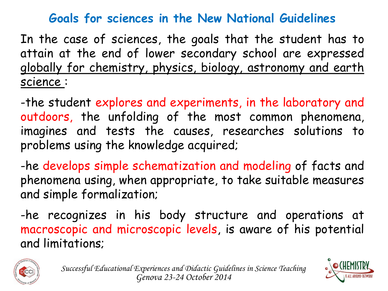#### **Goals for sciences in the New National Guidelines**

In the case of sciences, the goals that the student has to attain at the end of lower secondary school are expressed globally for chemistry, physics, biology, astronomy and earth science :

-the student explores and experiments, in the laboratory and outdoors, the unfolding of the most common phenomena, imagines and tests the causes, researches solutions to problems using the knowledge acquired;

-he develops simple schematization and modeling of facts and phenomena using, when appropriate, to take suitable measures and simple formalization;

-he recognizes in his body structure and operations at macroscopic and microscopic levels, is aware of his potential and limitations;



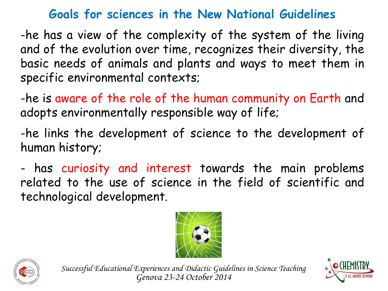### **Goals for sciences in the New National Guidelines**

-he has a view of the complexity of the system of the living and of the evolution over time, recognizes their diversity, the basic needs of animals and plants and ways to meet them in specific environmental contexts;

-he is aware of the role of the human community on Earth and adopts environmentally responsible way of life;

-he links the development of science to the development of human history;

- has curiosity and interest towards the main problems related to the use of science in the field of scientific and technological development.





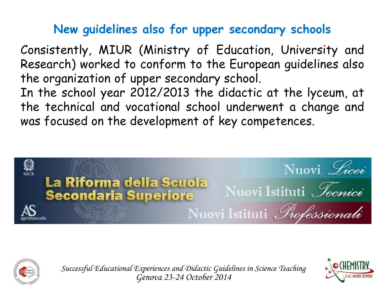# **New guidelines also for upper secondary schools**

Consistently, MIUR (Ministry of Education, University and Research) worked to conform to the European guidelines also the organization of upper secondary school.

In the school year 2012/2013 the didactic at the lyceum, at the technical and vocational school underwent a change and was focused on the development of key competences.





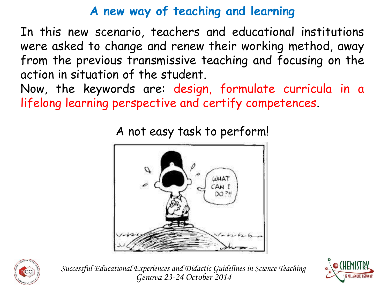# **A new way of teaching and learning**

In this new scenario, teachers and educational institutions were asked to change and renew their working method, away from the previous transmissive teaching and focusing on the action in situation of the student.

Now, the keywords are: design, formulate curricula in a lifelong learning perspective and certify competences.



A not easy task to perform!



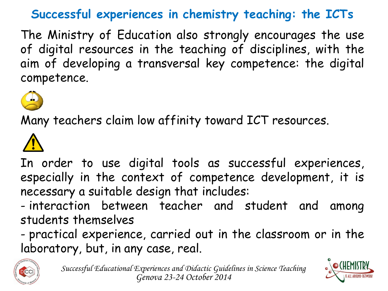# **Successful experiences in chemistry teaching: the ICTs**

The Ministry of Education also strongly encourages the use of digital resources in the teaching of disciplines, with the aim of developing a transversal key competence: the digital competence.



Many teachers claim low affinity toward ICT resources.



In order to use digital tools as successful experiences, especially in the context of competence development, it is necessary a suitable design that includes:

- interaction between teacher and student and among students themselves

- practical experience, carried out in the classroom or in the laboratory, but, in any case, real.



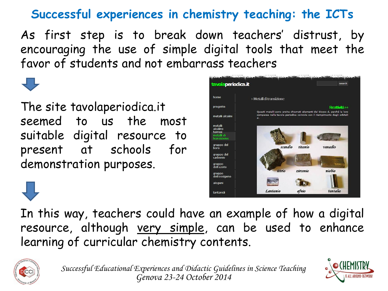# **Successful experiences in chemistry teaching: the ICTs**

As first step is to break down teachers' distrust, by encouraging the use of simple digital tools that meet the favor of students and not embarrass teachers

The site tavolaperiodica.it seemed to us the most suitable digital resource to present at schools for demonstration purposes.



In this way, teachers could have an example of how a digital resource, although very simple, can be used to enhance learning of curricular chemistry contents.



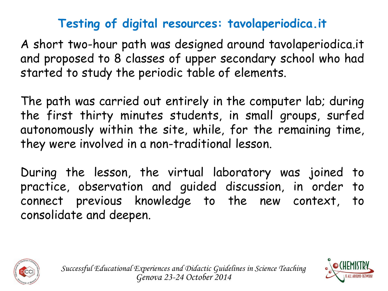# **Testing of digital resources: tavolaperiodica.it**

A short two-hour path was designed around tavolaperiodica.it and proposed to 8 classes of upper secondary school who had started to study the periodic table of elements.

The path was carried out entirely in the computer lab; during the first thirty minutes students, in small groups, surfed autonomously within the site, while, for the remaining time, they were involved in a non-traditional lesson.

During the lesson, the virtual laboratory was joined to practice, observation and guided discussion, in order to connect previous knowledge to the new context, to consolidate and deepen.





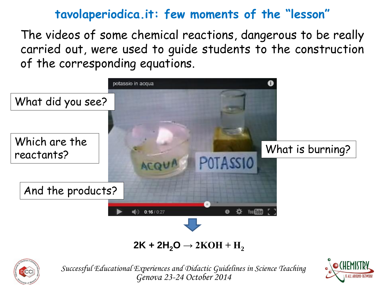The videos of some chemical reactions, dangerous to be really carried out, were used to guide students to the construction of the corresponding equations.



#### **2K + 2H<sub>2</sub>O → 2KOH + H<sub>2</sub>**



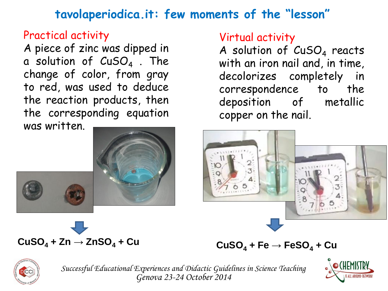#### Practical activity

A piece of zinc was dipped in a solution of  $\textsf{\small CuSO}_4$  . The change of color, from gray to red, was used to deduce the reaction products, then the corresponding equation was written.



# $CuSO<sub>4</sub> + Zn \rightarrow ZnSO<sub>4</sub> + Cu$

#### Virtual activity

A solution of  $CuSO_4$  reacts with an iron nail and, in time, decolorizes completely in correspondence to the deposition of metallic copper on the nail.



 $CuSO<sub>4</sub> + Fe \rightarrow FeSO<sub>4</sub> + Cu$ 



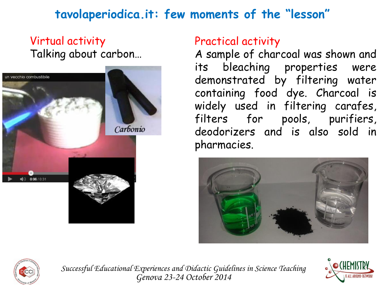#### Virtual activity Talking about carbon…



#### Practical activity

A sample of charcoal was shown and its bleaching properties were demonstrated by filtering water containing food dye. Charcoal is widely used in filtering carafes, filters for pools, purifiers, deodorizers and is also sold in pharmacies.





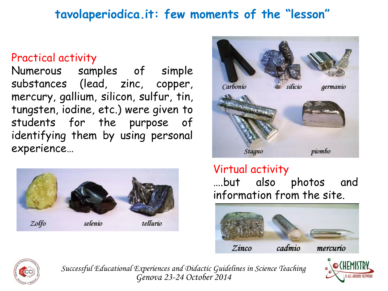#### Practical activity

Numerous samples of simple substances (lead, zinc, copper, mercury, gallium, silicon, sulfur, tin, tungsten, iodine, etc.) were given to students for the purpose of identifying them by using personal experience…





#### Virtual activity

….but also photos and information from the site.





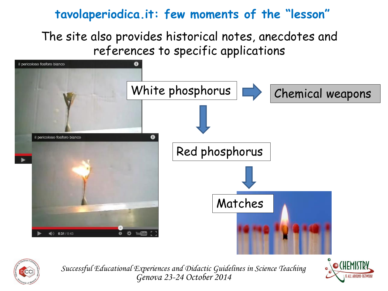The site also provides historical notes, anecdotes and references to specific applications





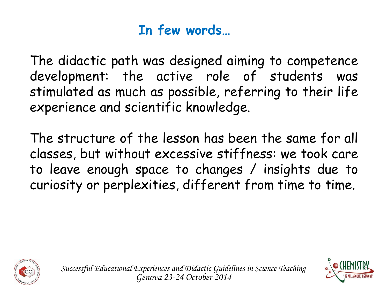# **In few words…**

The didactic path was designed aiming to competence development: the active role of students was stimulated as much as possible, referring to their life experience and scientific knowledge.

The structure of the lesson has been the same for all classes, but without excessive stiffness: we took care to leave enough space to changes / insights due to curiosity or perplexities, different from time to time.



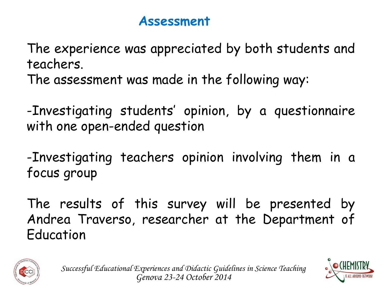### **Assessment**

The experience was appreciated by both students and teachers. The assessment was made in the following way:

-Investigating students' opinion, by a questionnaire with one open-ended question

-Investigating teachers opinion involving them in a focus group

The results of this survey will be presented by Andrea Traverso, researcher at the Department of Education